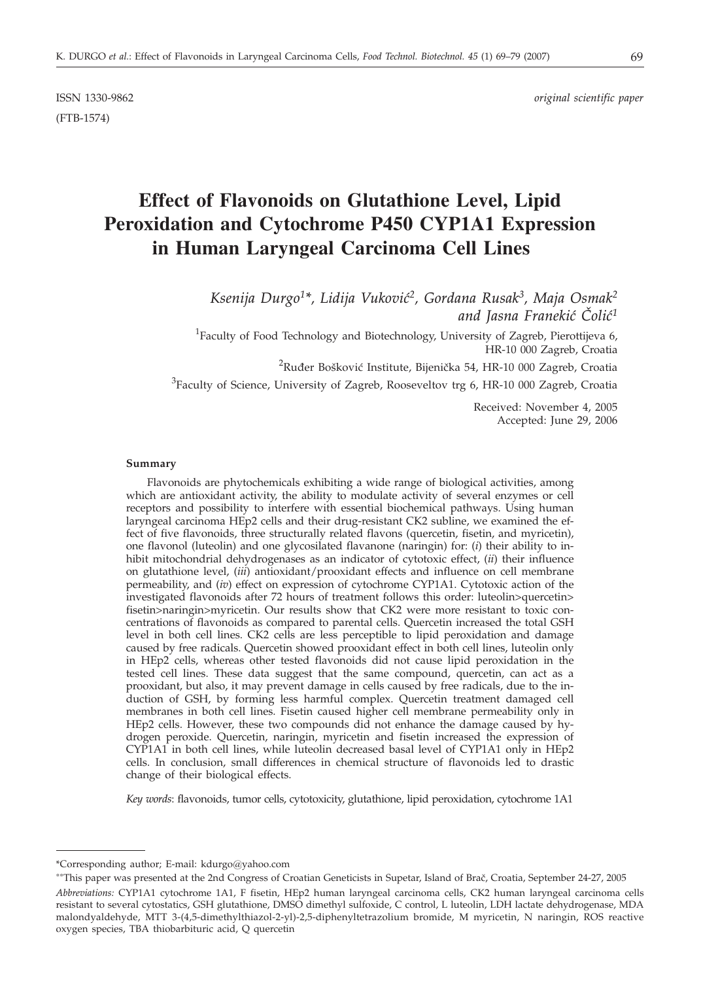(FTB-1574)

ISSN 1330-9862 *original scientific paper*

# **Effect of Flavonoids on Glutathione Level, Lipid Peroxidation and Cytochrome P450 CYP1A1 Expression in Human Laryngeal Carcinoma Cell Lines**

Ksenija Durgo<sup>1\*</sup>, Lidija Vuković<sup>2</sup>, Gordana Rusak<sup>3</sup>, Maja Osmak<sup>2</sup> *and Jasna Franeki} ^oli}1*

<sup>1</sup>Faculty of Food Technology and Biotechnology, University of Zagreb, Pierottijeva 6, HR-10 000 Zagreb, Croatia

 $^{2}$ Ruđer Bošković Institute, Bijenička 54, HR-10 000 Zagreb, Croatia

 ${}^{3}$ Faculty of Science, University of Zagreb, Rooseveltov trg 6, HR-10 000 Zagreb, Croatia

Received: November 4, 2005 Accepted: June 29, 2006

#### **Summary**

Flavonoids are phytochemicals exhibiting a wide range of biological activities, among which are antioxidant activity, the ability to modulate activity of several enzymes or cell receptors and possibility to interfere with essential biochemical pathways. Using human laryngeal carcinoma HEp2 cells and their drug-resistant CK2 subline, we examined the effect of five flavonoids, three structurally related flavons (quercetin, fisetin, and myricetin), one flavonol (luteolin) and one glycosilated flavanone (naringin) for: (*i*) their ability to inhibit mitochondrial dehydrogenases as an indicator of cytotoxic effect, (*ii*) their influence on glutathione level, (*iii*) antioxidant/prooxidant effects and influence on cell membrane permeability, and (*iv*) effect on expression of cytochrome CYP1A1. Cytotoxic action of the investigated flavonoids after 72 hours of treatment follows this order: luteolin>quercetin> fisetin>naringin>myricetin. Our results show that CK2 were more resistant to toxic concentrations of flavonoids as compared to parental cells. Quercetin increased the total GSH level in both cell lines. CK2 cells are less perceptible to lipid peroxidation and damage caused by free radicals. Quercetin showed prooxidant effect in both cell lines, luteolin only in HEp2 cells, whereas other tested flavonoids did not cause lipid peroxidation in the tested cell lines. These data suggest that the same compound, quercetin, can act as a prooxidant, but also, it may prevent damage in cells caused by free radicals, due to the induction of GSH, by forming less harmful complex. Quercetin treatment damaged cell membranes in both cell lines. Fisetin caused higher cell membrane permeability only in HEp2 cells. However, these two compounds did not enhance the damage caused by hydrogen peroxide. Quercetin, naringin, myricetin and fisetin increased the expression of CYP1A1 in both cell lines, while luteolin decreased basal level of CYP1A1 only in HEp2 cells. In conclusion, small differences in chemical structure of flavonoids led to drastic change of their biological effects.

*Key words*: flavonoids, tumor cells, cytotoxicity, glutathione, lipid peroxidation, cytochrome 1A1

<sup>\*</sup>Corresponding author; E-mail: kdurgo@yahoo.com

<sup>&</sup>lt;sup>\*\*</sup>This paper was presented at the 2nd Congress of Croatian Geneticists in Supetar, Island of Brač, Croatia, September 24-27, 2005

*Abbreviations:* CYP1A1 cytochrome 1A1, F fisetin, HEp2 human laryngeal carcinoma cells, CK2 human laryngeal carcinoma cells resistant to several cytostatics, GSH glutathione, DMSO dimethyl sulfoxide, C control, L luteolin, LDH lactate dehydrogenase, MDA malondyaldehyde, MTT 3-(4,5-dimethylthiazol-2-yl)-2,5-diphenyltetrazolium bromide, M myricetin, N naringin, ROS reactive oxygen species, TBA thiobarbituric acid, Q quercetin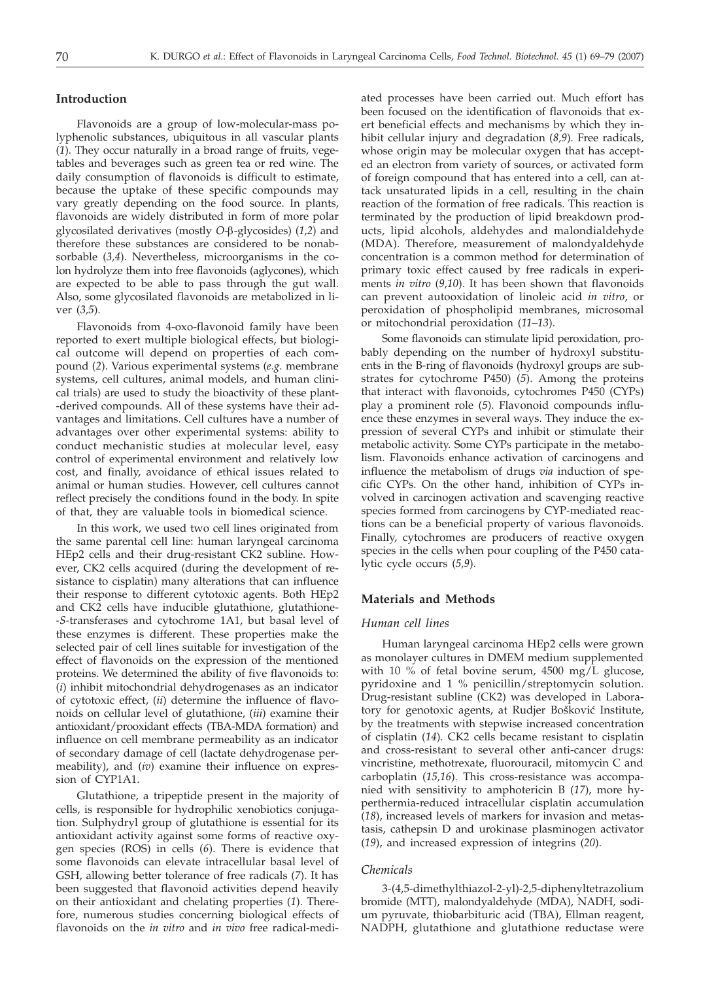# **Introduction**

Flavonoids are a group of low-molecular-mass polyphenolic substances, ubiquitous in all vascular plants (*1*). They occur naturally in a broad range of fruits, vegetables and beverages such as green tea or red wine. The daily consumption of flavonoids is difficult to estimate, because the uptake of these specific compounds may vary greatly depending on the food source. In plants, flavonoids are widely distributed in form of more polar glycosilated derivatives (mostly *O*-b-glycosides) (*1,2*) and therefore these substances are considered to be nonabsorbable (*3,4*). Nevertheless, microorganisms in the colon hydrolyze them into free flavonoids (aglycones), which are expected to be able to pass through the gut wall. Also, some glycosilated flavonoids are metabolized in liver (*3,5*).

Flavonoids from 4-oxo-flavonoid family have been reported to exert multiple biological effects, but biological outcome will depend on properties of each compound (*2*). Various experimental systems (*e.g.* membrane systems, cell cultures, animal models, and human clinical trials) are used to study the bioactivity of these plant- -derived compounds. All of these systems have their advantages and limitations. Cell cultures have a number of advantages over other experimental systems: ability to conduct mechanistic studies at molecular level, easy control of experimental environment and relatively low cost, and finally, avoidance of ethical issues related to animal or human studies. However, cell cultures cannot reflect precisely the conditions found in the body. In spite of that, they are valuable tools in biomedical science.

In this work, we used two cell lines originated from the same parental cell line: human laryngeal carcinoma HEp2 cells and their drug-resistant CK2 subline. However, CK2 cells acquired (during the development of resistance to cisplatin) many alterations that can influence their response to different cytotoxic agents. Both HEp2 and CK2 cells have inducible glutathione, glutathione- -*S*-transferases and cytochrome 1A1, but basal level of these enzymes is different. These properties make the selected pair of cell lines suitable for investigation of the effect of flavonoids on the expression of the mentioned proteins. We determined the ability of five flavonoids to: (*i*) inhibit mitochondrial dehydrogenases as an indicator of cytotoxic effect, (*ii*) determine the influence of flavonoids on cellular level of glutathione, (*iii*) examine their antioxidant/prooxidant effects (TBA-MDA formation) and influence on cell membrane permeability as an indicator of secondary damage of cell (lactate dehydrogenase permeability), and (*iv*) examine their influence on expression of CYP1A1.

Glutathione, a tripeptide present in the majority of cells, is responsible for hydrophilic xenobiotics conjugation. Sulphydryl group of glutathione is essential for its antioxidant activity against some forms of reactive oxygen species (ROS) in cells (*6*). There is evidence that some flavonoids can elevate intracellular basal level of GSH, allowing better tolerance of free radicals (*7*). It has been suggested that flavonoid activities depend heavily on their antioxidant and chelating properties (*1*). Therefore, numerous studies concerning biological effects of flavonoids on the *in vitro* and *in vivo* free radical-mediated processes have been carried out. Much effort has been focused on the identification of flavonoids that exert beneficial effects and mechanisms by which they inhibit cellular injury and degradation (*8,9*). Free radicals, whose origin may be molecular oxygen that has accepted an electron from variety of sources, or activated form of foreign compound that has entered into a cell, can attack unsaturated lipids in a cell, resulting in the chain reaction of the formation of free radicals. This reaction is terminated by the production of lipid breakdown products, lipid alcohols, aldehydes and malondialdehyde (MDA). Therefore, measurement of malondyaldehyde concentration is a common method for determination of primary toxic effect caused by free radicals in experiments *in vitro* (*9,10*). It has been shown that flavonoids can prevent autooxidation of linoleic acid *in vitro*, or peroxidation of phospholipid membranes, microsomal or mitochondrial peroxidation (*11–13*).

Some flavonoids can stimulate lipid peroxidation, probably depending on the number of hydroxyl substituents in the B-ring of flavonoids (hydroxyl groups are substrates for cytochrome P450) (*5*). Among the proteins that interact with flavonoids, cytochromes P450 (CYPs) play a prominent role (*5*). Flavonoid compounds influence these enzymes in several ways. They induce the expression of several CYPs and inhibit or stimulate their metabolic activity. Some CYPs participate in the metabolism. Flavonoids enhance activation of carcinogens and influence the metabolism of drugs *via* induction of specific CYPs. On the other hand, inhibition of CYPs involved in carcinogen activation and scavenging reactive species formed from carcinogens by CYP-mediated reactions can be a beneficial property of various flavonoids. Finally, cytochromes are producers of reactive oxygen species in the cells when pour coupling of the P450 catalytic cycle occurs (*5,9*).

# **Materials and Methods**

#### *Human cell lines*

Human laryngeal carcinoma HEp2 cells were grown as monolayer cultures in DMEM medium supplemented with 10 % of fetal bovine serum, 4500 mg/L glucose, pyridoxine and 1 % penicillin/streptomycin solution. Drug-resistant subline (CK2) was developed in Laboratory for genotoxic agents, at Rudjer Bošković Institute, by the treatments with stepwise increased concentration of cisplatin (*14*). CK2 cells became resistant to cisplatin and cross-resistant to several other anti-cancer drugs: vincristine, methotrexate, fluorouracil, mitomycin C and carboplatin (*15,16*). This cross-resistance was accompanied with sensitivity to amphotericin B (*17*), more hyperthermia-reduced intracellular cisplatin accumulation (*18*), increased levels of markers for invasion and metastasis, cathepsin D and urokinase plasminogen activator (*19*), and increased expression of integrins (*20*).

## *Chemicals*

3-(4,5-dimethylthiazol-2-yl)-2,5-diphenyltetrazolium bromide (MTT), malondyaldehyde (MDA), NADH, sodium pyruvate, thiobarbituric acid (TBA), Ellman reagent, NADPH, glutathione and glutathione reductase were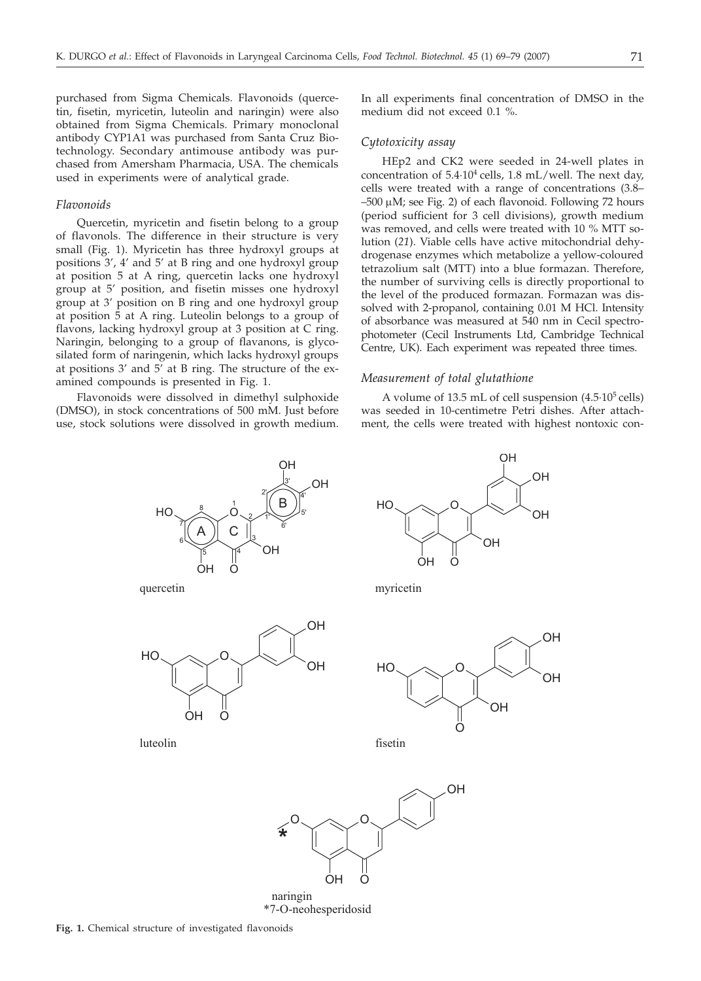purchased from Sigma Chemicals. Flavonoids (quercetin, fisetin, myricetin, luteolin and naringin) were also obtained from Sigma Chemicals. Primary monoclonal antibody CYP1A1 was purchased from Santa Cruz Biotechnology. Secondary antimouse antibody was purchased from Amersham Pharmacia, USA. The chemicals used in experiments were of analytical grade.

#### *Flavonoids*

Quercetin, myricetin and fisetin belong to a group of flavonols. The difference in their structure is very small (Fig. 1). Myricetin has three hydroxyl groups at positions 3', 4' and 5' at B ring and one hydroxyl group at position 5 at A ring, quercetin lacks one hydroxyl group at 5' position, and fisetin misses one hydroxyl group at 3' position on B ring and one hydroxyl group at position 5 at A ring. Luteolin belongs to a group of flavons, lacking hydroxyl group at 3 position at C ring. Naringin, belonging to a group of flavanons, is glycosilated form of naringenin, which lacks hydroxyl groups at positions 3' and 5' at B ring. The structure of the examined compounds is presented in Fig. 1.

Flavonoids were dissolved in dimethyl sulphoxide (DMSO), in stock concentrations of 500 mM. Just before use, stock solutions were dissolved in growth medium.



#### *Cytotoxicity assay*

HEp2 and CK2 were seeded in 24-well plates in concentration of  $5.4 \cdot 10^4$  cells, 1.8 mL/well. The next day, cells were treated with a range of concentrations (3.8–  $-500 \mu$ M; see Fig. 2) of each flavonoid. Following 72 hours (period sufficient for 3 cell divisions), growth medium was removed, and cells were treated with 10 % MTT solution (*21*). Viable cells have active mitochondrial dehydrogenase enzymes which metabolize a yellow-coloured tetrazolium salt (MTT) into a blue formazan. Therefore, the number of surviving cells is directly proportional to the level of the produced formazan. Formazan was dissolved with 2-propanol, containing 0.01 M HCl. Intensity of absorbance was measured at 540 nm in Cecil spectrophotometer (Cecil Instruments Ltd, Cambridge Technical Centre, UK). Each experiment was repeated three times.

#### *Measurement of total glutathione*

A volume of  $13.5$  mL of cell suspension  $(4.5 \cdot 10^5 \text{ cells})$ was seeded in 10-centimetre Petri dishes. After attachment, the cells were treated with highest nontoxic con-



naringin \*7-O-neohesperidosid

OH

 $\Omega$ 



myricetin



OH

fisetin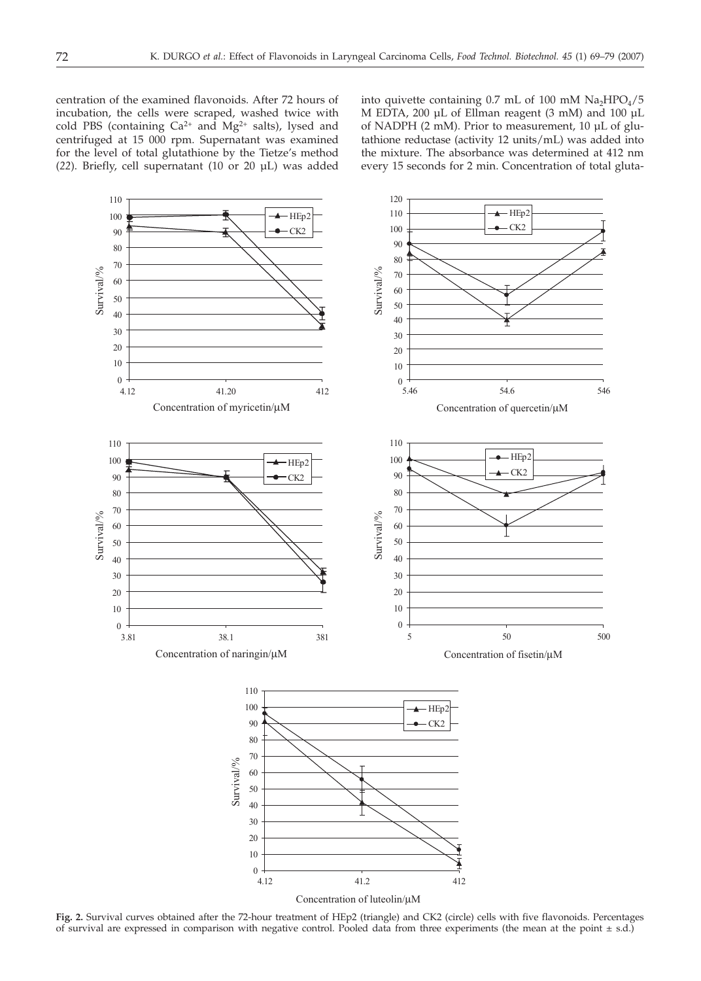centration of the examined flavonoids. After 72 hours of incubation, the cells were scraped, washed twice with cold PBS (containing  $Ca^{2+}$  and  $Mg^{2+}$  salts), lysed and centrifuged at 15 000 rpm. Supernatant was examined for the level of total glutathione by the Tietze's method (*22*). Briefly, cell supernatant (10 or 20 µL) was added into quivette containing  $0.7$  mL of  $100$  mM  $Na<sub>2</sub>HPO<sub>4</sub>/5$ M EDTA, 200 µL of Ellman reagent (3 mM) and 100 µL of NADPH (2 mM). Prior to measurement, 10 µL of glutathione reductase (activity 12 units/mL) was added into the mixture. The absorbance was determined at 412 nm every 15 seconds for 2 min. Concentration of total gluta-



**Fig. 2.** Survival curves obtained after the 72-hour treatment of HEp2 (triangle) and CK2 (circle) cells with five flavonoids. Percentages of survival are expressed in comparison with negative control. Pooled data from three experiments (the mean at the point  $\pm$  s.d.)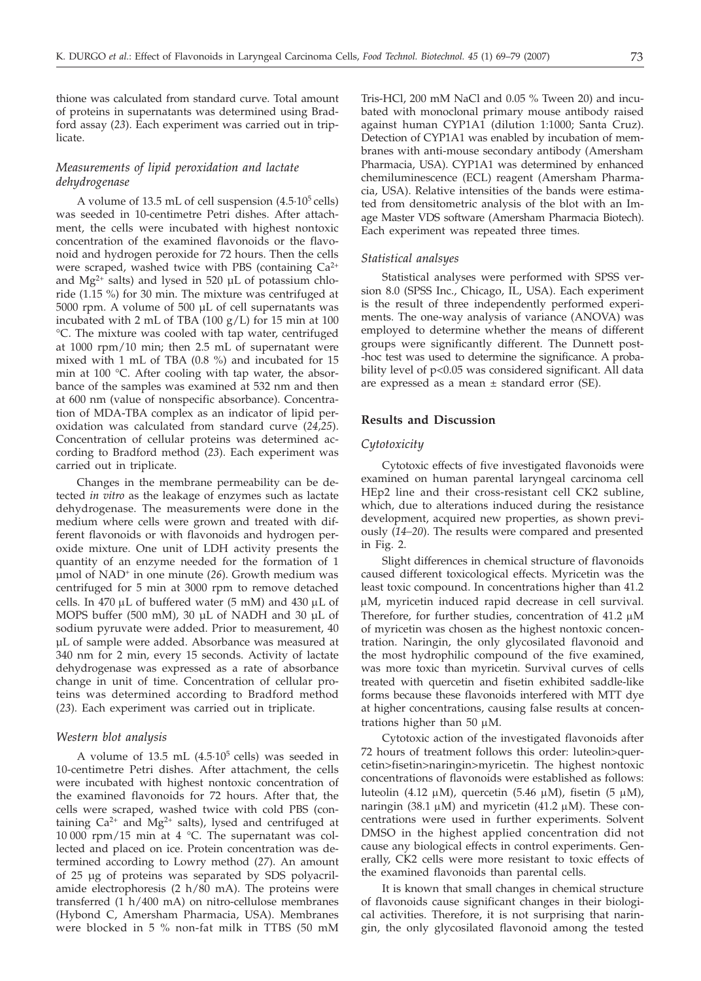thione was calculated from standard curve. Total amount of proteins in supernatants was determined using Bradford assay (*23*). Each experiment was carried out in triplicate.

# *Measurements of lipid peroxidation and lactate dehydrogenase*

A volume of  $13.5$  mL of cell suspension  $(4.5 \cdot 10^5 \text{ cells})$ was seeded in 10-centimetre Petri dishes. After attachment, the cells were incubated with highest nontoxic concentration of the examined flavonoids or the flavonoid and hydrogen peroxide for 72 hours. Then the cells were scraped, washed twice with PBS (containing  $Ca^{2+}$ and  $Mg^{2+}$  salts) and lysed in 520 µL of potassium chloride (1.15 %) for 30 min. The mixture was centrifuged at 5000 rpm. A volume of 500 µL of cell supernatants was incubated with 2 mL of TBA  $(100 g/L)$  for 15 min at 100 °C. The mixture was cooled with tap water, centrifuged at 1000 rpm/10 min; then 2.5 mL of supernatant were mixed with 1 mL of TBA (0.8 %) and incubated for 15 min at 100 °C. After cooling with tap water, the absorbance of the samples was examined at 532 nm and then at 600 nm (value of nonspecific absorbance). Concentration of MDA-TBA complex as an indicator of lipid peroxidation was calculated from standard curve (*24,25*). Concentration of cellular proteins was determined according to Bradford method (*23*). Each experiment was carried out in triplicate.

Changes in the membrane permeability can be detected *in vitro* as the leakage of enzymes such as lactate dehydrogenase. The measurements were done in the medium where cells were grown and treated with different flavonoids or with flavonoids and hydrogen peroxide mixture. One unit of LDH activity presents the quantity of an enzyme needed for the formation of 1 µmol of NAD+ in one minute (*26*). Growth medium was centrifuged for 5 min at 3000 rpm to remove detached cells. In 470  $\mu$ L of buffered water (5 mM) and 430  $\mu$ L of MOPS buffer (500 mM), 30 µL of NADH and 30 µL of sodium pyruvate were added. Prior to measurement, 40 µL of sample were added. Absorbance was measured at 340 nm for 2 min, every 15 seconds. Activity of lactate dehydrogenase was expressed as a rate of absorbance change in unit of time. Concentration of cellular proteins was determined according to Bradford method (*23*). Each experiment was carried out in triplicate.

#### *Western blot analysis*

A volume of  $13.5$  mL  $(4.5.10<sup>5</sup>$  cells) was seeded in 10-centimetre Petri dishes. After attachment, the cells were incubated with highest nontoxic concentration of the examined flavonoids for 72 hours. After that, the cells were scraped, washed twice with cold PBS (containing  $Ca^{2+}$  and Mg<sup>2+</sup> salts), lysed and centrifuged at 10 000 rpm/15 min at 4 °C. The supernatant was collected and placed on ice. Protein concentration was determined according to Lowry method (*27*). An amount of 25 µg of proteins was separated by SDS polyacrilamide electrophoresis  $(2 h/80 mA)$ . The proteins were transferred (1 h/400 mA) on nitro-cellulose membranes (Hybond C, Amersham Pharmacia, USA). Membranes were blocked in 5 % non-fat milk in TTBS (50 mM

Tris-HCl, 200 mM NaCl and 0.05 % Tween 20) and incubated with monoclonal primary mouse antibody raised against human CYP1A1 (dilution 1:1000; Santa Cruz). Detection of CYP1A1 was enabled by incubation of membranes with anti-mouse secondary antibody (Amersham Pharmacia, USA). CYP1A1 was determined by enhanced chemiluminescence (ECL) reagent (Amersham Pharmacia, USA). Relative intensities of the bands were estimated from densitometric analysis of the blot with an Image Master VDS software (Amersham Pharmacia Biotech). Each experiment was repeated three times.

## *Statistical analsyes*

Statistical analyses were performed with SPSS version 8.0 (SPSS Inc., Chicago, IL, USA). Each experiment is the result of three independently performed experiments. The one-way analysis of variance (ANOVA) was employed to determine whether the means of different groups were significantly different. The Dunnett post- -hoc test was used to determine the significance. A probability level of p<0.05 was considered significant. All data are expressed as a mean ± standard error (SE).

# **Results and Discussion**

# *Cytotoxicity*

Cytotoxic effects of five investigated flavonoids were examined on human parental laryngeal carcinoma cell HEp2 line and their cross-resistant cell CK2 subline, which, due to alterations induced during the resistance development, acquired new properties, as shown previously (*14–20*). The results were compared and presented in Fig. 2.

Slight differences in chemical structure of flavonoids caused different toxicological effects. Myricetin was the least toxic compound. In concentrations higher than 41.2 uM, myricetin induced rapid decrease in cell survival. Therefore, for further studies, concentration of 41.2  $\mu$ M of myricetin was chosen as the highest nontoxic concentration. Naringin, the only glycosilated flavonoid and the most hydrophilic compound of the five examined, was more toxic than myricetin. Survival curves of cells treated with quercetin and fisetin exhibited saddle-like forms because these flavonoids interfered with MTT dye at higher concentrations, causing false results at concentrations higher than 50  $\mu$ M.

Cytotoxic action of the investigated flavonoids after 72 hours of treatment follows this order: luteolin>quercetin>fisetin>naringin>myricetin. The highest nontoxic concentrations of flavonoids were established as follows: luteolin (4.12  $\mu$ M), quercetin (5.46  $\mu$ M), fisetin (5  $\mu$ M), naringin (38.1  $\mu$ M) and myricetin (41.2  $\mu$ M). These concentrations were used in further experiments. Solvent DMSO in the highest applied concentration did not cause any biological effects in control experiments. Generally, CK2 cells were more resistant to toxic effects of the examined flavonoids than parental cells.

It is known that small changes in chemical structure of flavonoids cause significant changes in their biological activities. Therefore, it is not surprising that naringin, the only glycosilated flavonoid among the tested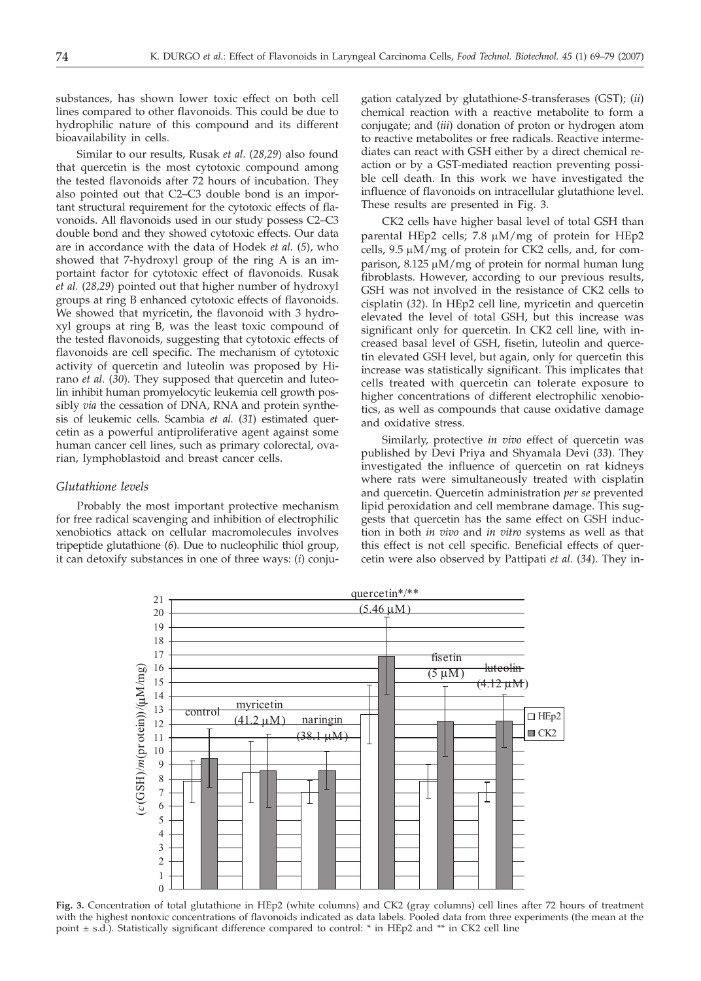substances, has shown lower toxic effect on both cell lines compared to other flavonoids. This could be due to hydrophilic nature of this compound and its different bioavailability in cells.

Similar to our results, Rusak *et al.* (*28,29*) also found that quercetin is the most cytotoxic compound among the tested flavonoids after 72 hours of incubation. They also pointed out that C2–C3 double bond is an important structural requirement for the cytotoxic effects of flavonoids. All flavonoids used in our study possess C2–C3 double bond and they showed cytotoxic effects. Our data are in accordance with the data of Hodek *et al.* (*5*), who showed that 7-hydroxyl group of the ring A is an importaint factor for cytotoxic effect of flavonoids. Rusak *et al.* (*28,29*) pointed out that higher number of hydroxyl groups at ring B enhanced cytotoxic effects of flavonoids. We showed that myricetin, the flavonoid with 3 hydroxyl groups at ring B, was the least toxic compound of the tested flavonoids, suggesting that cytotoxic effects of flavonoids are cell specific. The mechanism of cytotoxic activity of quercetin and luteolin was proposed by Hirano *et al.* (*30*). They supposed that quercetin and luteolin inhibit human promyelocytic leukemia cell growth possibly *via* the cessation of DNA, RNA and protein synthesis of leukemic cells. Scambia *et al.* (*31*) estimated quercetin as a powerful antiproliferative agent against some human cancer cell lines, such as primary colorectal, ovarian, lymphoblastoid and breast cancer cells.

### *Glutathione levels*

Probably the most important protective mechanism for free radical scavenging and inhibition of electrophilic xenobiotics attack on cellular macromolecules involves tripeptide glutathione (*6*). Due to nucleophilic thiol group, it can detoxify substances in one of three ways: (*i*) conjugation catalyzed by glutathione-*S*-transferases (GST); (*ii*) chemical reaction with a reactive metabolite to form a conjugate; and (*iii*) donation of proton or hydrogen atom to reactive metabolites or free radicals. Reactive intermediates can react with GSH either by a direct chemical reaction or by a GST-mediated reaction preventing possible cell death. In this work we have investigated the influence of flavonoids on intracellular glutathione level. These results are presented in Fig. 3.

CK2 cells have higher basal level of total GSH than parental HEp2 cells; 7.8 µM/mg of protein for HEp2 cells,  $9.5 \mu M/mg$  of protein for CK2 cells, and, for comparison,  $8.125 \mu M/mg$  of protein for normal human lung fibroblasts. However, according to our previous results, GSH was not involved in the resistance of CK2 cells to cisplatin (*32*). In HEp2 cell line, myricetin and quercetin elevated the level of total GSH, but this increase was significant only for quercetin. In CK2 cell line, with increased basal level of GSH, fisetin, luteolin and quercetin elevated GSH level, but again, only for quercetin this increase was statistically significant. This implicates that cells treated with quercetin can tolerate exposure to higher concentrations of different electrophilic xenobiotics, as well as compounds that cause oxidative damage and oxidative stress.

Similarly, protective *in vivo* effect of quercetin was published by Devi Priya and Shyamala Devi (*33*). They investigated the influence of quercetin on rat kidneys where rats were simultaneously treated with cisplatin and quercetin. Quercetin administration *per se* prevented lipid peroxidation and cell membrane damage. This suggests that quercetin has the same effect on GSH induction in both *in vivo* and *in vitro* systems as well as that this effect is not cell specific. Beneficial effects of quercetin were also observed by Pattipati *et al.* (*34*). They in-



**Fig. 3.** Concentration of total glutathione in HEp2 (white columns) and CK2 (gray columns) cell lines after 72 hours of treatment with the highest nontoxic concentrations of flavonoids indicated as data labels. Pooled data from three experiments (the mean at the point ± s.d.). Statistically significant difference compared to control: \* in HEp2 and \*\* in CK2 cell line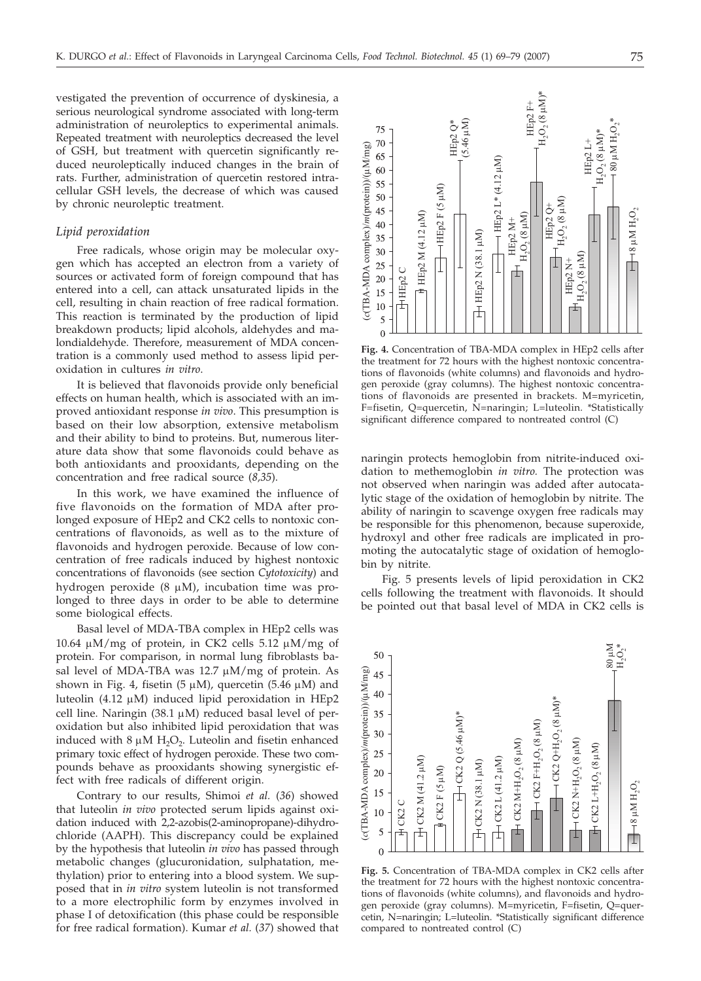vestigated the prevention of occurrence of dyskinesia, a serious neurological syndrome associated with long-term administration of neuroleptics to experimental animals. Repeated treatment with neuroleptics decreased the level of GSH, but treatment with quercetin significantly reduced neuroleptically induced changes in the brain of rats. Further, administration of quercetin restored intracellular GSH levels, the decrease of which was caused by chronic neuroleptic treatment.

#### *Lipid peroxidation*

Free radicals, whose origin may be molecular oxygen which has accepted an electron from a variety of sources or activated form of foreign compound that has entered into a cell, can attack unsaturated lipids in the cell, resulting in chain reaction of free radical formation. This reaction is terminated by the production of lipid breakdown products; lipid alcohols, aldehydes and malondialdehyde. Therefore, measurement of MDA concentration is a commonly used method to assess lipid peroxidation in cultures *in vitro*.

It is believed that flavonoids provide only beneficial effects on human health, which is associated with an improved antioxidant response *in vivo*. This presumption is based on their low absorption, extensive metabolism and their ability to bind to proteins. But, numerous literature data show that some flavonoids could behave as both antioxidants and prooxidants, depending on the concentration and free radical source (*8,35*).

In this work, we have examined the influence of five flavonoids on the formation of MDA after prolonged exposure of HEp2 and CK2 cells to nontoxic concentrations of flavonoids, as well as to the mixture of flavonoids and hydrogen peroxide. Because of low concentration of free radicals induced by highest nontoxic concentrations of flavonoids (see section *Cytotoxicity*) and hydrogen peroxide (8  $\mu$ M), incubation time was prolonged to three days in order to be able to determine some biological effects.

Basal level of MDA-TBA complex in HEp2 cells was 10.64  $\mu$ M/mg of protein, in CK2 cells 5.12  $\mu$ M/mg of protein. For comparison, in normal lung fibroblasts basal level of MDA-TBA was  $12.7 \mu M/mg$  of protein. As shown in Fig. 4, fisetin (5  $\mu$ M), quercetin (5.46  $\mu$ M) and luteolin (4.12  $\mu$ M) induced lipid peroxidation in HEp2 cell line. Naringin (38.1  $\mu$ M) reduced basal level of peroxidation but also inhibited lipid peroxidation that was induced with  $8 \mu M H_2O_2$ . Luteolin and fisetin enhanced primary toxic effect of hydrogen peroxide. These two compounds behave as prooxidants showing synergistic effect with free radicals of different origin.

Contrary to our results, Shimoi *et al.* (*36*) showed that luteolin *in vivo* protected serum lipids against oxidation induced with 2,2-azobis(2-aminopropane)-dihydrochloride (AAPH). This discrepancy could be explained by the hypothesis that luteolin *in vivo* has passed through metabolic changes (glucuronidation, sulphatation, methylation) prior to entering into a blood system. We supposed that in *in vitro* system luteolin is not transformed to a more electrophilic form by enzymes involved in phase I of detoxification (this phase could be responsible for free radical formation). Kumar *et al.* (*37*) showed that



**Fig. 4.** Concentration of TBA-MDA complex in HEp2 cells after the treatment for 72 hours with the highest nontoxic concentrations of flavonoids (white columns) and flavonoids and hydrogen peroxide (gray columns). The highest nontoxic concentrations of flavonoids are presented in brackets. M=myricetin, F=fisetin, Q=quercetin, N=naringin; L=luteolin. \*Statistically significant difference compared to nontreated control (C)

naringin protects hemoglobin from nitrite-induced oxidation to methemoglobin *in vitro.* The protection was not observed when naringin was added after autocatalytic stage of the oxidation of hemoglobin by nitrite. The ability of naringin to scavenge oxygen free radicals may be responsible for this phenomenon, because superoxide, hydroxyl and other free radicals are implicated in promoting the autocatalytic stage of oxidation of hemoglobin by nitrite.

Fig. 5 presents levels of lipid peroxidation in CK2 cells following the treatment with flavonoids. It should be pointed out that basal level of MDA in CK2 cells is



**Fig. 5.** Concentration of TBA-MDA complex in CK2 cells after the treatment for 72 hours with the highest nontoxic concentrations of flavonoids (white columns), and flavonoids and hydrogen peroxide (gray columns). M=myricetin, F=fisetin, Q=quercetin, N=naringin; L=luteolin. \*Statistically significant difference compared to nontreated control (C)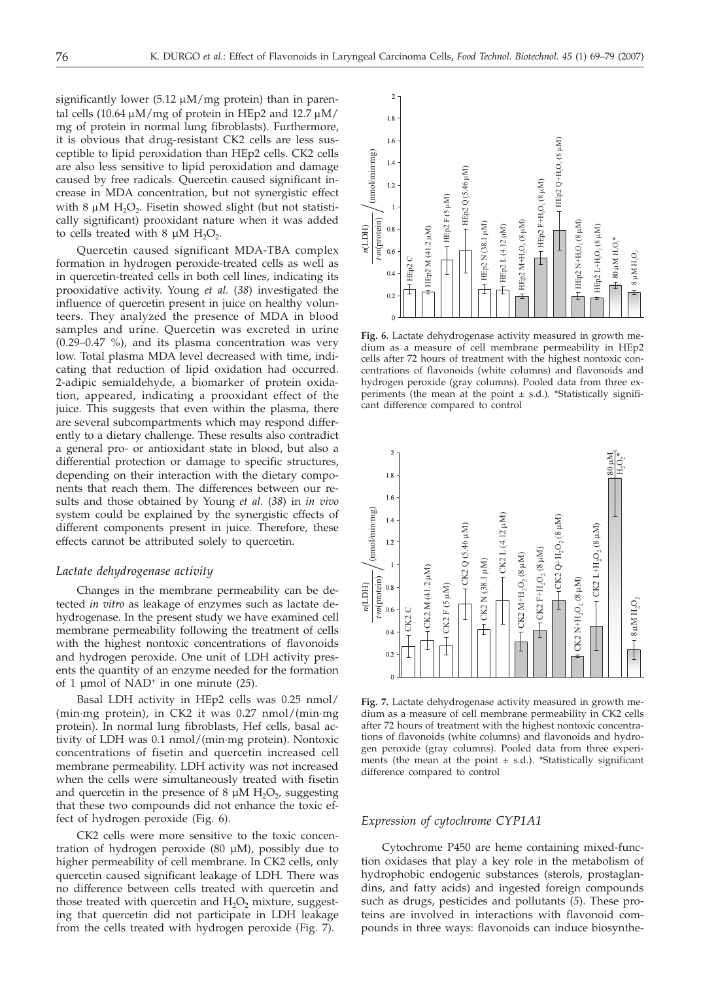significantly lower  $(5.12 \mu M/mg$  protein) than in parental cells (10.64  $\mu$ M/mg of protein in HEp2 and 12.7  $\mu$ M/ mg of protein in normal lung fibroblasts). Furthermore, it is obvious that drug-resistant CK2 cells are less susceptible to lipid peroxidation than HEp2 cells. CK2 cells are also less sensitive to lipid peroxidation and damage caused by free radicals. Quercetin caused significant increase in MDA concentration, but not synergistic effect with 8  $\mu$ M H<sub>2</sub>O<sub>2</sub>. Fisetin showed slight (but not statistically significant) prooxidant nature when it was added to cells treated with 8  $\mu$ M H<sub>2</sub>O<sub>2</sub>.

Quercetin caused significant MDA-TBA complex formation in hydrogen peroxide-treated cells as well as in quercetin-treated cells in both cell lines, indicating its prooxidative activity. Young *et al.* (*38*) investigated the influence of quercetin present in juice on healthy volunteers. They analyzed the presence of MDA in blood samples and urine. Quercetin was excreted in urine (0.29–0.47 %), and its plasma concentration was very low. Total plasma MDA level decreased with time, indicating that reduction of lipid oxidation had occurred. 2-adipic semialdehyde, a biomarker of protein oxidation, appeared, indicating a prooxidant effect of the juice. This suggests that even within the plasma, there are several subcompartments which may respond differently to a dietary challenge. These results also contradict a general pro- or antioxidant state in blood, but also a differential protection or damage to specific structures, depending on their interaction with the dietary components that reach them. The differences between our results and those obtained by Young *et al.* (*38*) in *in vivo* system could be explained by the synergistic effects of different components present in juice. Therefore, these effects cannot be attributed solely to quercetin.

#### *Lactate dehydrogenase activity*

Changes in the membrane permeability can be detected *in vitro* as leakage of enzymes such as lactate dehydrogenase. In the present study we have examined cell membrane permeability following the treatment of cells with the highest nontoxic concentrations of flavonoids and hydrogen peroxide. One unit of LDH activity presents the quantity of an enzyme needed for the formation of 1 µmol of NAD+ in one minute (*25*).

Basal LDH activity in HEp2 cells was 0.25 nmol/ (min·mg protein), in CK2 it was 0.27 nmol/(min·mg protein). In normal lung fibroblasts, Hef cells, basal activity of LDH was 0.1 nmol/(min·mg protein). Nontoxic concentrations of fisetin and quercetin increased cell membrane permeability. LDH activity was not increased when the cells were simultaneously treated with fisetin and quercetin in the presence of 8  $\mu$ M H<sub>2</sub>O<sub>2</sub>, suggesting that these two compounds did not enhance the toxic effect of hydrogen peroxide (Fig. 6).

CK2 cells were more sensitive to the toxic concentration of hydrogen peroxide  $(80 \mu M)$ , possibly due to higher permeability of cell membrane. In CK2 cells, only quercetin caused significant leakage of LDH. There was no difference between cells treated with quercetin and those treated with quercetin and  $H_2O_2$  mixture, suggesting that quercetin did not participate in LDH leakage from the cells treated with hydrogen peroxide (Fig. 7).



**Fig. 6.** Lactate dehydrogenase activity measured in growth medium as a measure of cell membrane permeability in HEp2 cells after 72 hours of treatment with the highest nontoxic concentrations of flavonoids (white columns) and flavonoids and hydrogen peroxide (gray columns). Pooled data from three experiments (the mean at the point  $\pm$  s.d.). \*Statistically significant difference compared to control



**Fig. 7.** Lactate dehydrogenase activity measured in growth medium as a measure of cell membrane permeability in CK2 cells after 72 hours of treatment with the highest nontoxic concentrations of flavonoids (white columns) and flavonoids and hydrogen peroxide (gray columns). Pooled data from three experiments (the mean at the point  $\pm$  s.d.). \*Statistically significant difference compared to control

#### *Expression of cytochrome CYP1A1*

Cytochrome P450 are heme containing mixed-function oxidases that play a key role in the metabolism of hydrophobic endogenic substances (sterols, prostaglandins, and fatty acids) and ingested foreign compounds such as drugs, pesticides and pollutants (*5*). These proteins are involved in interactions with flavonoid compounds in three ways: flavonoids can induce biosynthe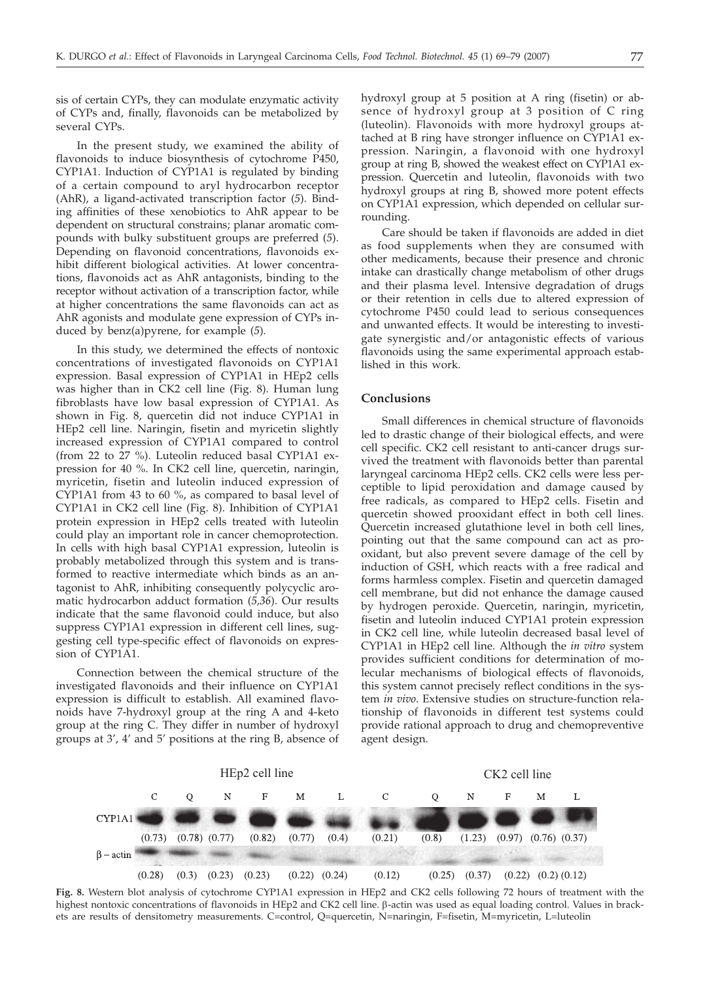sis of certain CYPs, they can modulate enzymatic activity of CYPs and, finally, flavonoids can be metabolized by several CYPs.

In the present study, we examined the ability of flavonoids to induce biosynthesis of cytochrome P450, CYP1A1. Induction of CYP1A1 is regulated by binding of a certain compound to aryl hydrocarbon receptor (AhR), a ligand-activated transcription factor (*5*). Binding affinities of these xenobiotics to AhR appear to be dependent on structural constrains; planar aromatic compounds with bulky substituent groups are preferred (*5*). Depending on flavonoid concentrations, flavonoids exhibit different biological activities. At lower concentrations, flavonoids act as AhR antagonists, binding to the receptor without activation of a transcription factor, while at higher concentrations the same flavonoids can act as AhR agonists and modulate gene expression of CYPs induced by benz(a)pyrene, for example (*5*).

In this study, we determined the effects of nontoxic concentrations of investigated flavonoids on CYP1A1 expression. Basal expression of CYP1A1 in HEp2 cells was higher than in CK2 cell line (Fig. 8). Human lung fibroblasts have low basal expression of CYP1A1. As shown in Fig. 8, quercetin did not induce CYP1A1 in HEp2 cell line. Naringin, fisetin and myricetin slightly increased expression of CYP1A1 compared to control (from 22 to 27 %). Luteolin reduced basal CYP1A1 expression for 40 %. In CK2 cell line, quercetin, naringin, myricetin, fisetin and luteolin induced expression of CYP1A1 from 43 to 60 %, as compared to basal level of CYP1A1 in CK2 cell line (Fig. 8). Inhibition of CYP1A1 protein expression in HEp2 cells treated with luteolin could play an important role in cancer chemoprotection. In cells with high basal CYP1A1 expression, luteolin is probably metabolized through this system and is transformed to reactive intermediate which binds as an antagonist to AhR, inhibiting consequently polycyclic aromatic hydrocarbon adduct formation (*5,36*). Our results indicate that the same flavonoid could induce, but also suppress CYP1A1 expression in different cell lines, suggesting cell type-specific effect of flavonoids on expression of CYP1A1.

Connection between the chemical structure of the investigated flavonoids and their influence on CYP1A1 expression is difficult to establish. All examined flavonoids have 7-hydroxyl group at the ring A and 4-keto group at the ring C. They differ in number of hydroxyl groups at 3', 4' and 5' positions at the ring B, absence of hydroxyl group at 5 position at A ring (fisetin) or absence of hydroxyl group at 3 position of C ring (luteolin). Flavonoids with more hydroxyl groups attached at B ring have stronger influence on CYP1A1 expression. Naringin, a flavonoid with one hydroxyl group at ring B, showed the weakest effect on CYP1A1 expression. Quercetin and luteolin, flavonoids with two hydroxyl groups at ring B, showed more potent effects on CYP1A1 expression, which depended on cellular surrounding.

Care should be taken if flavonoids are added in diet as food supplements when they are consumed with other medicaments, because their presence and chronic intake can drastically change metabolism of other drugs and their plasma level. Intensive degradation of drugs or their retention in cells due to altered expression of cytochrome P450 could lead to serious consequences and unwanted effects. It would be interesting to investigate synergistic and/or antagonistic effects of various flavonoids using the same experimental approach established in this work.

## **Conclusions**

Small differences in chemical structure of flavonoids led to drastic change of their biological effects, and were cell specific. CK2 cell resistant to anti-cancer drugs survived the treatment with flavonoids better than parental laryngeal carcinoma HEp2 cells. CK2 cells were less perceptible to lipid peroxidation and damage caused by free radicals, as compared to HEp2 cells. Fisetin and quercetin showed prooxidant effect in both cell lines. Quercetin increased glutathione level in both cell lines, pointing out that the same compound can act as prooxidant, but also prevent severe damage of the cell by induction of GSH, which reacts with a free radical and forms harmless complex. Fisetin and quercetin damaged cell membrane, but did not enhance the damage caused by hydrogen peroxide. Quercetin, naringin, myricetin, fisetin and luteolin induced CYP1A1 protein expression in CK2 cell line, while luteolin decreased basal level of CYP1A1 in HEp2 cell line. Although the *in vitro* system provides sufficient conditions for determination of molecular mechanisms of biological effects of flavonoids, this system cannot precisely reflect conditions in the system *in vivo*. Extensive studies on structure-function relationship of flavonoids in different test systems could provide rational approach to drug and chemopreventive agent design.



**Fig. 8.** Western blot analysis of cytochrome CYP1A1 expression in HEp2 and CK2 cells following 72 hours of treatment with the highest nontoxic concentrations of flavonoids in HEp2 and CK2 cell line. β-actin was used as equal loading control. Values in brackets are results of densitometry measurements. C=control, Q=quercetin, N=naringin, F=fisetin, M=myricetin, L=luteolin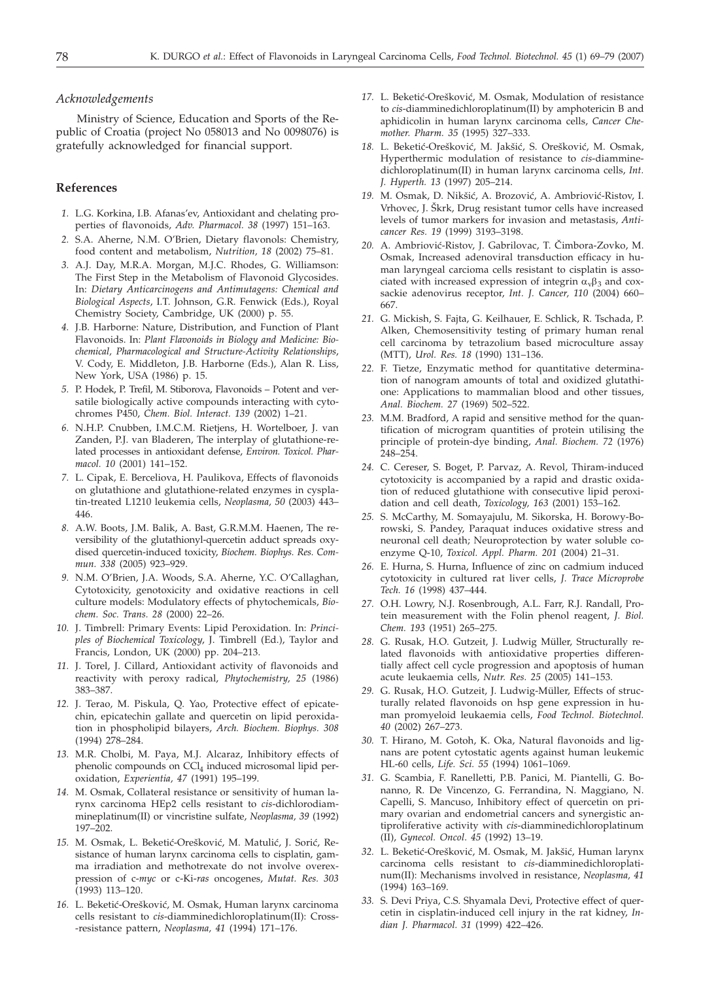#### *Acknowledgements*

Ministry of Science, Education and Sports of the Republic of Croatia (project No 058013 and No 0098076) is gratefully acknowledged for financial support.

#### **References**

- *1.* L.G. Korkina, I.B. Afanas'ev, Antioxidant and chelating properties of flavonoids, *Adv. Pharmacol. 38* (1997) 151–163.
- *2.* S.A. Aherne, N.M. O'Brien, Dietary flavonols: Chemistry, food content and metabolism, *Nutrition, 18* (2002) 75–81.
- *3.* A.J. Day, M.R.A. Morgan, M.J.C. Rhodes, G. Williamson: The First Step in the Metabolism of Flavonoid Glycosides. In: *Dietary Anticarcinogens and Antimutagens: Chemical and Biological Aspects*, I.T. Johnson, G.R. Fenwick (Eds.), Royal Chemistry Society, Cambridge, UK (2000) p. 55.
- *4.* J.B. Harborne: Nature, Distribution, and Function of Plant Flavonoids. In: *Plant Flavonoids in Biology and Medicine: Biochemical, Pharmacological and Structure-Activity Relationships*, V. Cody, E. Middleton, J.B. Harborne (Eds.), Alan R. Liss, New York, USA (1986) p. 15.
- *5.* P. Hodek, P. Trefil, M. Stiborova, Flavonoids Potent and versatile biologically active compounds interacting with cytochromes P450, *Chem. Biol. Interact. 139* (2002) 1–21.
- *6.* N.H.P. Cnubben, I.M.C.M. Rietjens, H. Wortelboer, J. van Zanden, P.J. van Bladeren, The interplay of glutathione-related processes in antioxidant defense, *Environ. Toxicol. Pharmacol. 10* (2001) 141–152.
- *7.* L. Cipak, E. Berceliova, H. Paulikova, Effects of flavonoids on glutathione and glutathione-related enzymes in cysplatin-treated L1210 leukemia cells, *Neoplasma, 50* (2003) 443– 446.
- *8.* A.W. Boots, J.M. Balik, A. Bast, G.R.M.M. Haenen, The reversibility of the glutathionyl-quercetin adduct spreads oxydised quercetin-induced toxicity, *Biochem. Biophys. Res. Commun. 338* (2005) 923–929.
- *9.* N.M. O'Brien, J.A. Woods, S.A. Aherne, Y.C. O'Callaghan, Cytotoxicity, genotoxicity and oxidative reactions in cell culture models: Modulatory effects of phytochemicals, *Biochem. Soc. Trans. 28* (2000) 22–26.
- *10.* J. Timbrell: Primary Events: Lipid Peroxidation. In: *Principles of Biochemical Toxicology*, J. Timbrell (Ed.), Taylor and Francis, London, UK (2000) pp. 204–213.
- *11.* J. Torel, J. Cillard, Antioxidant activity of flavonoids and reactivity with peroxy radical, *Phytochemistry, 25* (1986) 383–387.
- *12.* J. Terao, M. Piskula, Q. Yao, Protective effect of epicatechin, epicatechin gallate and quercetin on lipid peroxidation in phospholipid bilayers, *Arch. Biochem. Biophys. 308* (1994) 278–284.
- *13.* M.R. Cholbi, M. Paya, M.J. Alcaraz, Inhibitory effects of phenolic compounds on CCl<sub>4</sub> induced microsomal lipid peroxidation, *Experientia, 47* (1991) 195–199.
- *14.* M. Osmak, Collateral resistance or sensitivity of human larynx carcinoma HEp2 cells resistant to *cis*-dichlorodiammineplatinum(II) or vincristine sulfate, *Neoplasma, 39* (1992) 197–202.
- 15. M. Osmak, L. Beketić-Orešković, M. Matulić, J. Sorić, Resistance of human larynx carcinoma cells to cisplatin, gamma irradiation and methotrexate do not involve overexpression of c-*myc* or c-Ki-*ras* oncogenes, *Mutat. Res. 303* (1993) 113–120.
- 16. L. Beketić-Orešković, M. Osmak, Human larynx carcinoma cells resistant to *cis*-diamminedichloroplatinum(II): Cross- -resistance pattern, *Neoplasma, 41* (1994) 171–176.
- 17. L. Beketić-Orešković, M. Osmak, Modulation of resistance to *cis*-diamminedichloroplatinum(II) by amphotericin B and aphidicolin in human larynx carcinoma cells, *Cancer Chemother. Pharm. 35* (1995) 327–333.
- 18. L. Beketić-Orešković, M. Jakšić, S. Orešković, M. Osmak, Hyperthermic modulation of resistance to *cis*-diamminedichloroplatinum(II) in human larynx carcinoma cells, *Int. J. Hyperth. 13* (1997) 205–214.
- 19. M. Osmak, D. Nikšić, A. Brozović, A. Ambriović-Ristov, I. Vrhovec, J. Škrk, Drug resistant tumor cells have increased levels of tumor markers for invasion and metastasis, *Anticancer Res. 19* (1999) 3193–3198.
- 20. A. Ambriović-Ristov, J. Gabrilovac, T. Čimbora-Zovko, M. Osmak, Increased adenoviral transduction efficacy in human laryngeal carcioma cells resistant to cisplatin is associated with increased expression of integrin  $\alpha_v\beta_3$  and coxsackie adenovirus receptor, *Int. J. Cancer, 110* (2004) 660– 667.
- *21.* G. Mickish, S. Fajta, G. Keilhauer, E. Schlick, R. Tschada, P. Alken, Chemosensitivity testing of primary human renal cell carcinoma by tetrazolium based microculture assay (MTT), *Urol. Res. 18* (1990) 131–136.
- *22.* F. Tietze, Enzymatic method for quantitative determination of nanogram amounts of total and oxidized glutathione: Applications to mammalian blood and other tissues, *Anal. Biochem. 27* (1969) 502–522.
- *23.* M.M. Bradford, A rapid and sensitive method for the quantification of microgram quantities of protein utilising the principle of protein-dye binding, *Anal. Biochem. 72* (1976) 248–254.
- *24.* C. Cereser, S. Boget, P. Parvaz, A. Revol, Thiram-induced cytotoxicity is accompanied by a rapid and drastic oxidation of reduced glutathione with consecutive lipid peroxidation and cell death, *Toxicology, 163* (2001) 153–162.
- *25.* S. McCarthy, M. Somayajulu, M. Sikorska, H. Borowy-Borowski, S. Pandey, Paraquat induces oxidative stress and neuronal cell death; Neuroprotection by water soluble coenzyme Q-10, *Toxicol. Appl. Pharm. 201* (2004) 21–31.
- *26.* E. Hurna, S. Hurna, Influence of zinc on cadmium induced cytotoxicity in cultured rat liver cells, *J. Trace Microprobe Tech. 16* (1998) 437–444.
- *27.* O.H. Lowry, N.J. Rosenbrough, A.L. Farr, R.J. Randall, Protein measurement with the Folin phenol reagent, *J. Biol. Chem. 193* (1951) 265–275.
- *28.* G. Rusak, H.O. Gutzeit, J. Ludwig Müller, Structurally related flavonoids with antioxidative properties differentially affect cell cycle progression and apoptosis of human acute leukaemia cells, *Nutr. Res. 25* (2005) 141–153.
- *29.* G. Rusak, H.O. Gutzeit, J. Ludwig-Müller, Effects of structurally related flavonoids on hsp gene expression in human promyeloid leukaemia cells, *Food Technol. Biotechnol. 40* (2002) 267–273.
- *30.* T. Hirano, M. Gotoh, K. Oka, Natural flavonoids and lignans are potent cytostatic agents against human leukemic HL-60 cells, *Life. Sci. 55* (1994) 1061–1069.
- *31.* G. Scambia, F. Ranelletti, P.B. Panici, M. Piantelli, G. Bonanno, R. De Vincenzo, G. Ferrandina, N. Maggiano, N. Capelli, S. Mancuso, Inhibitory effect of quercetin on primary ovarian and endometrial cancers and synergistic antiproliferative activity with *cis*-diamminedichloroplatinum (II), *Gynecol. Oncol*. *45* (1992) 13–19.
- 32. L. Beketić-Orešković, M. Osmak, M. Jakšić, Human larynx carcinoma cells resistant to *cis*-diamminedichloroplatinum(II): Mechanisms involved in resistance, *Neoplasma, 41* (1994) 163–169.
- *33.* S. Devi Priya, C.S. Shyamala Devi, Protective effect of quercetin in cisplatin-induced cell injury in the rat kidney, *Indian J. Pharmacol. 31* (1999) 422–426.